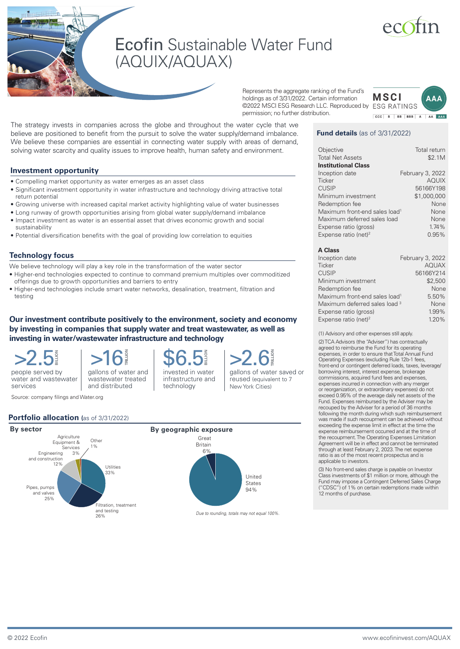# Ecofin Sustainable Water Fund (AQUIX/AQUAX)

Represents the aggregate ranking of the Fund's holdings as of 3/31/2022. Certain information ©2022 MSCI ESG Research LLC. Reproduced by ESG RATINGS permission; no further distribution.



# **Fund details** (as of 3/31/2022)

| Objective                                 | Total return     |
|-------------------------------------------|------------------|
| <b>Total Net Assets</b>                   | \$2.1M           |
| <b>Institutional Class</b>                |                  |
| Inception date                            | February 3, 2022 |
| Ticker                                    | <b>AOUIX</b>     |
| <b>CUSIP</b>                              | 56166Y198        |
| Minimum investment                        | \$1,000,000      |
| Redemption fee                            | None             |
| Maximum front-end sales load <sup>1</sup> | None             |
| Maximum deferred sales load               | None             |
| Expense ratio (gross)                     | 1.74%            |
| Expense ratio (net) <sup>2</sup>          | 0.95%            |

#### **A Class**

| Inception date                            | February 3, 2022 |
|-------------------------------------------|------------------|
| Ticker                                    | <b>AQUAX</b>     |
| <b>CUSIP</b>                              | 56166Y214        |
| Minimum investment                        | \$2,500          |
| Redemption fee                            | None             |
| Maximum front-end sales load <sup>1</sup> | 5.50%            |
| Maximum deferred sales load 3             | None             |
| Expense ratio (gross)                     | 1.99%            |
| Expense ratio (net) <sup>2</sup>          | 1.20%            |

(1) Advisory and other expenses still apply.

(2) TCA Advisors (the "Adviser") has contractually agreed to reimburse the Fund for its operating expenses, in order to ensure that Total Annual Fund Operating Expenses (excluding Rule 12b-1 fees, front-end or contingent deferred loads, taxes, leverage/ borrowing interest, interest expense, brokerage commissions, acquired fund fees and expenses, expenses incurred in connection with any merger or reorganization, or extraordinary expenses) do not exceed 0.95% of the average daily net assets of the Fund. Expenses reimbursed by the Adviser may be recouped by the Adviser for a period of 36 months following the month during which such reimbursement was made if such recoupment can be achieved without exceeding the expense limit in effect at the time the expense reimbursement occurred and at the time of the recoupment. The Operating Expenses Limitation Agreement will be in effect and cannot be terminated through at least February 2, 2023. The net expense ratio is as of the most recent prospectus and is applicable to investors.

(3) No front-end sales charge is payable on Investor Class investments of \$1 million or more, although the Fund may impose a Contingent Deferred Sales Charge ("CDSC") of 1% on certain redemptions made within 12 months of purchase.

We believe these companies are essential in connecting water supply with areas of demand, solving water scarcity and quality issues to improve health, human safety and environment. **Investment opportunity**

- Compelling market opportunity as water emerges as an asset class
- Significant investment opportunity in water infrastructure and technology driving attractive total return potential

The strategy invests in companies across the globe and throughout the water cycle that we believe are positioned to benefit from the pursuit to solve the water supply/demand imbalance.

- Growing universe with increased capital market activity highlighting value of water businesses
- Long runway of growth opportunities arising from global water supply/demand imbalance • Impact investment as water is an essential asset that drives economic growth and social sustainability
- Potential diversification benefits with the goal of providing low correlation to equities

# **Technology focus**

- We believe technology will play a key role in the transformation of the water sector
- Higher-end technologies expected to continue to command premium multiples over commoditized offerings due to growth opportunities and barriers to entry
- Higher-end technologies include smart water networks, desalination, treatment, filtration and testing

# **Our investment contribute positively to the environment, society and economy by investing in companies that supply water and treat wastewater, as well as investing in water/wastewater infrastructure and technology**

>2.5 **BILLION** >16 **TRILLION**

water and wastewater services

Source: company filings and Water.org

gallons of water and

and distributed

invested in water infrastructure and technology \$6.5 **BILLION**

gallons of water saved or reused (equivalent to 7 New York Cities) >2.6 **TRILLION**



people served by

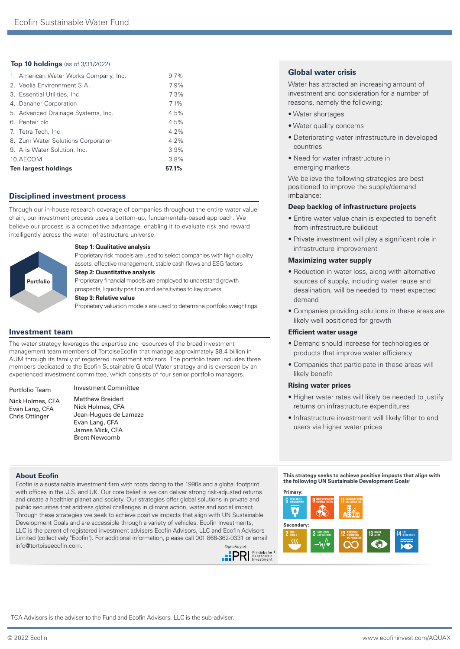# **Top 10 holdings** (as of 3/31/2022)

| 1. American Water Works Company, Inc. | $9.7\%$ |  |
|---------------------------------------|---------|--|
| 2. Veolia Environnment S.A.           | 7.9%    |  |
| 3. Essential Utilities, Inc.          | 7.3%    |  |
| 4. Danaher Corporation                | 7.1%    |  |
| 5. Advanced Drainage Systems, Inc.    | 4.5%    |  |
| 6. Pentair plc                        | 4.5%    |  |
| 7. Tetra Tech, Inc.                   | 4.2%    |  |
| 8. Zurn Water Solutions Corporation   | $4.2\%$ |  |
| 9. Aris Water Solution, Inc.          | 3.9%    |  |
| 10.AECOM                              | 3.8%    |  |
| Ten largest holdings                  | 57.1%   |  |

# **Disciplined investment process**

Through our in-house research coverage of companies throughout the entire water value chain, our investment process uses a bottom-up, fundamentals-based approach. We believe our process is a competitive advantage, enabling it to evaluate risk and reward intelligently across the water infrastructure universe.



### **Step 1: Qualitative analysis**

Proprietary risk models are used to select companies with high quality assets, effective management, stable cash flows and ESG factors **Step 2: Quantitative analysis**

Proprietary financial models are employed to understand growth prospects, liquidity position and sensitivities to key drivers

# **Step 3: Relative value**

Proprietary valuation models are used to determine portfolio weightings

# **Investment team**

The water strategy leverages the expertise and resources of the broad investment management team members of TortoiseEcofin that manage approximately \$8.4 billion in AUM through its family of registered investment advisors. The portfolio team includes three members dedicated to the Ecofin Sustainable Global Water strategy and is overseen by an experienced investment committee, which consists of four senior portfolio managers.

#### Portfolio Team

Nick Holmes, CFA Evan Lang, CFA Chris Ottinger

# Investment Committee

Matthew Breidert Nick Holmes, CFA Jean-Hugues de Lamaze Evan Lang, CFA James Mick, CFA Brent Newcomb

Ecofin is a sustainable investment firm with roots dating to the 1990s and a global footprint with offices in the U.S. and UK. Our core belief is we can deliver strong risk-adjusted returns and create a healthier planet and society. Our strategies offer global solutions in private and public securities that address global challenges in climate action, water and social impact. Through these strategies we seek to achieve positive impacts that align with UN Sustainable Development Goals and are accessible through a variety of vehicles. Ecofin Investments, LLC is the parent of registered investment advisers Ecofin Advisors, LLC and Ecofin Advisors Limited (collectively "Ecofin"). For additional information, please call 001 866-362-9331 or email info@tortoiseecofin.com. Signatory of



# **Global water crisis**

Water has attracted an increasing amount of investment and consideration for a number of reasons, namely the following:

- Water shortages
- Water quality concerns
- Deteriorating water infrastructure in developed countries
- Need for water infrastructure in emerging markets

We believe the following strategies are best positioned to improve the supply/demand imbalance:

#### **Deep backlog of infrastructure projects**

- Entire water value chain is expected to benefit from infrastructure buildout
- Private investment will play a significant role in infrastructure improvement

#### **Maximizing water supply**

- Reduction in water loss, along with alternative sources of supply, including water reuse and desalination, will be needed to meet expected demand
- Companies providing solutions in these areas are likely well positioned for growth

### **Efficient water usage**

- Demand should increase for technologies or products that improve water efficiency
- Companies that participate in these areas will likely benefit

### **Rising water prices**

- Higher water rates will likely be needed to justify returns on infrastructure expenditures
- Infrastructure investment will likely filter to end users via higher water prices

**About Ecofin This strategy seeks to achieve positive impacts that align with the following UN Sustainable Development Goals**†